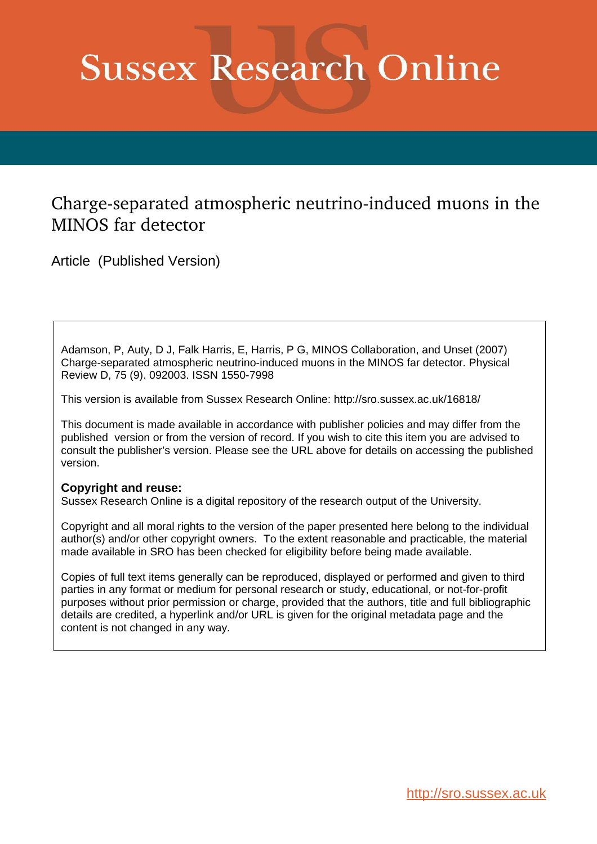# <span id="page-0-1"></span><span id="page-0-0"></span>**Sussex Research Online**

# Charge-separated atmospheric neutrino-induced muons in the MINOS far detector

Article (Published Version)

<span id="page-0-2"></span>Adamson, P, Auty, D J, Falk Harris, E, Harris, P G, MINOS Collaboration, and Unset (2007) Charge-separated atmospheric neutrino-induced muons in the MINOS far detector. Physical Review D, 75 (9). 092003. ISSN 1550-7998

This version is available from Sussex Research Online: http://sro.sussex.ac.uk/16818/

This document is made available in accordance with publisher policies and may differ from the published version or from the version of record. If you wish to cite this item you are advised to consult the publisher's version. Please see the URL above for details on accessing the published version.

# **Copyright and reuse:**

Sussex Research Online is a digital repository of the research output of the University.

Copyright and all moral rights to the version of the paper presented here belong to the individual author(s) and/or other copyright owners. To the extent reasonable and practicable, the material made available in SRO has been checked for eligibility before being made available.

Copies of full text items generally can be reproduced, displayed or performed and given to third parties in any format or medium for personal research or study, educational, or not-for-profit purposes without prior permission or charge, provided that the authors, title and full bibliographic details are credited, a hyperlink and/or URL is given for the original metadata page and the content is not changed in any way.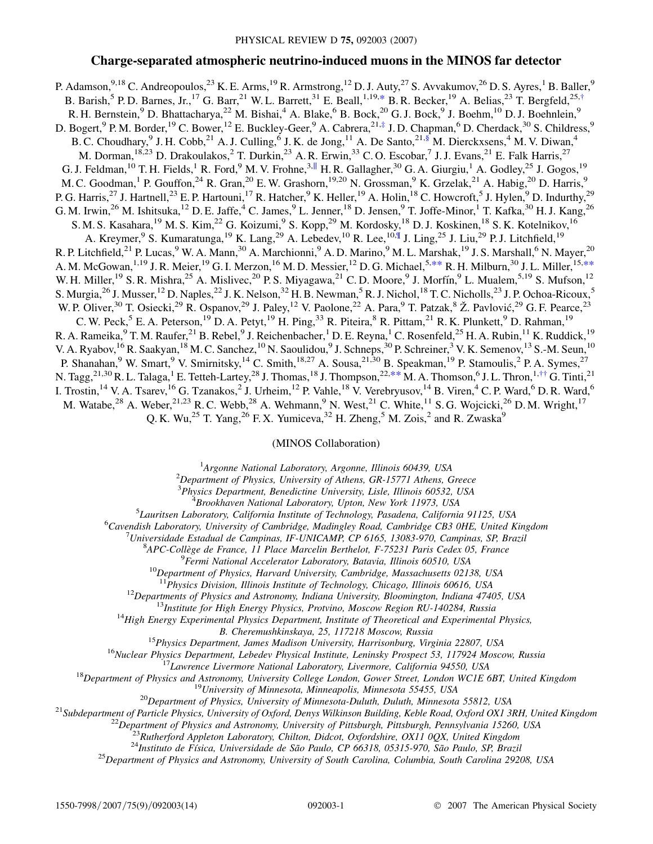# **Charge-separated atmospheric neutrino-induced muons in the MINOS far detector**

P. Adamson, <sup>9,18</sup> C. Andreopoulos, <sup>23</sup> K. E. Arms, <sup>19</sup> R. Armstrong, <sup>12</sup> D. J. Auty, <sup>27</sup> S. Avvakumov, <sup>26</sup> D. S. Ayres, <sup>1</sup> B. Baller, <sup>9</sup> B. Barish,<sup>5</sup> P.D. Barnes, Jr.,<sup>17</sup> G. Barr,<sup>21</sup> W.L. Barrett,<sup>31</sup> E. Beall,<sup>1,19,[\\*](#page-1-0)</sup> B.R. Becker,<sup>19</sup> A. Belias,<sup>23</sup> T. Bergfeld,<sup>25[,†](#page-1-1)</sup> R. H. Bernstein, <sup>9</sup> D. Bhattacharya, <sup>22</sup> M. Bishai, <sup>4</sup> A. Blake, <sup>6</sup> B. Bock, <sup>20</sup> G. J. Bock, <sup>9</sup> J. Boehm, <sup>10</sup> D. J. Boehnlein, <sup>9</sup> D. Bogert, <sup>9</sup> P. M. Border, <sup>19</sup> C. Bower, <sup>12</sup> E. Buckley-Geer, <sup>9</sup> A. Cabrera, 21,[‡](#page-1-2) J. D. Chapman, <sup>6</sup> D. Cherdack, <sup>30</sup> S. Childress, <sup>9</sup> B. C. Choudhary, <sup>9</sup> J. H. Cobb, <sup>21</sup> A. J. Culling, <sup>6</sup> J. K. de Jong, <sup>11</sup> A. De Santo, <sup>21, §</sup> M. Dierckxsens, <sup>4</sup> M. V. Diwan, <sup>4</sup> M. Dorman, <sup>18,23</sup> D. Drakoulakos, <sup>2</sup> T. Durkin, <sup>23</sup> A. R. Erwin, <sup>33</sup> C. O. Escobar, <sup>7</sup> J. J. Evans, <sup>21</sup> E. Falk Harris, <sup>27</sup> G. J. Feldman,  $^{10}$  T. H. Fields,  $^{1}$  R. Ford,  $^{9}$  M. V. Frohne,  $^{3,||}$  H. R. Gallagher,  $^{30}$  G. A. Giurgiu,  $^{1}$  A. Godley,  $^{25}$  J. Gogos,  $^{19}$ M. C. Goodman, <sup>1</sup> P. Gouffon, <sup>24</sup> R. Gran, <sup>20</sup> E. W. Grashorn, <sup>19,20</sup> N. Grossman, <sup>9</sup> K. Grzelak, <sup>21</sup> A. Habig, <sup>20</sup> D. Harris, <sup>9</sup> P. G. Harris,<sup>27</sup> J. Hartnell,<sup>23</sup> E. P. Hartouni,<sup>17</sup> R. Hatcher,<sup>9</sup> K. Heller,<sup>19</sup> A. Holin,<sup>18</sup> C. Howcroft,<sup>5</sup> J. Hylen,<sup>9</sup> D. Indurthy,<sup>29</sup> G. M. Irwin,<sup>26</sup> M. Ishitsuka,<sup>12</sup> D. E. Jaffe,<sup>4</sup> C. James,<sup>9</sup> L. Jenner,<sup>18</sup> D. Jensen,<sup>9</sup> T. Joffe-Minor,<sup>1</sup> T. Kafka,<sup>30</sup> H. J. Kang,<sup>26</sup> S. M. S. Kasahara, <sup>19</sup> M. S. Kim, <sup>22</sup> G. Koizumi, <sup>9</sup> S. Kopp, <sup>29</sup> M. Kordosky, <sup>18</sup> D. J. Koskinen, <sup>18</sup> S. K. Kotelnikov, <sup>16</sup> A. Kreymer,<sup>9</sup> S. Kumaratunga,<sup>19</sup> K. Lang,<sup>29</sup> A. Lebedev,<sup>10</sup> R. Lee,<sup>10,¶</sup> J. Ling,<sup>25</sup> J. Liu,<sup>29</sup> P. J. Litchfield,<sup>19</sup> R. P. Litchfield,<sup>21</sup> P. Lucas,<sup>9</sup> W. A. Mann,<sup>30</sup> A. Marchionni,<sup>9</sup> A. D. Marino,<sup>9</sup> M. L. Marshak,<sup>19</sup> J. S. Marshall,<sup>6</sup> N. Mayer,<sup>20</sup> A. M. McGowan, <sup>1,19</sup> J. R. Meier, <sup>19</sup> G. I. Merzon, <sup>16</sup> M. D. Messier, <sup>12</sup> D. G. Michael, <sup>5,\*\*</sup> R. H. Milburn, <sup>30</sup> J. L. Miller, <sup>15,\*\*</sup> W. H. Miller, <sup>19</sup> S. R. Mishra, <sup>25</sup> A. Mislivec, <sup>20</sup> P. S. Miyagawa, <sup>21</sup> C. D. Moore, <sup>9</sup> J. Morfín, <sup>9</sup> L. Mualem, <sup>5, 19</sup> S. Mufson, <sup>12</sup> S. Murgia,<sup>26</sup> J. Musser,<sup>12</sup> D. Naples,<sup>22</sup> J. K. Nelson,<sup>32</sup> H. B. Newman,<sup>5</sup> R. J. Nichol,<sup>18</sup> T. C. Nicholls,<sup>23</sup> J. P. Ochoa-Ricoux,<sup>5</sup> W. P. Oliver,<sup>30</sup> T. Osiecki,<sup>29</sup> R. Ospanov,<sup>29</sup> J. Paley,<sup>12</sup> V. Paolone,<sup>22</sup> A. Para,<sup>9</sup> T. Patzak,<sup>8</sup> Ž. Pavlović,<sup>29</sup> G. F. Pearce,<sup>23</sup> C. W. Peck,  $^5$  E. A. Peterson,  $^{19}$  D. A. Petyt,  $^{19}$  H. Ping,  $^{33}$  R. Piteira,  $^8$  R. Pittam,  $^{21}$  R. K. Plunkett,  $^9$  D. Rahman,  $^{19}$ R. A. Rameika, <sup>9</sup> T. M. Raufer, <sup>21</sup> B. Rebel, <sup>9</sup> J. Reichenbacher, <sup>1</sup> D. E. Reyna, <sup>1</sup> C. Rosenfeld, <sup>25</sup> H. A. Rubin, <sup>11</sup> K. Ruddick, <sup>19</sup> V. A. Ryabov, <sup>16</sup> R. Saakyan, <sup>18</sup> M. C. Sanchez, <sup>10</sup> N. Saoulidou, <sup>9</sup> J. Schneps, <sup>30</sup> P. Schreiner, <sup>3</sup> V. K. Semenov, <sup>13</sup> S.-M. Seun, <sup>10</sup> P. Shanahan,<sup>9</sup> W. Smart,<sup>9</sup> V. Smirnitsky,<sup>14</sup> C. Smith,<sup>18,27</sup> A. Sousa,<sup>21,30</sup> B. Speakman,<sup>19</sup> P. Stamoulis,<sup>2</sup> P. A. Symes,<sup>27</sup> N. Tagg,<sup>21,30</sup> R. L. Talaga,<sup>1</sup> E. Tetteh-Lartey,<sup>28</sup> J. Thomas,<sup>18</sup> J. Thompson,<sup>22,\*\*</sup> M. A. Thomson,<sup>6</sup> J. L. Thron,<sup>1,[††](#page-1-3)</sup> G. Tinti,<sup>21</sup> I. Trostin, <sup>14</sup> V. A. Tsarev, <sup>16</sup> G. Tzanakos, 2 J. Urheim, <sup>12</sup> P. Vahle, <sup>18</sup> V. Verebryusov, <sup>14</sup> B. Viren, <sup>4</sup> C. P. Ward, <sup>6</sup> D. R. Ward, <sup>6</sup> M. Watabe,<sup>28</sup> A. Weber,<sup>21,23</sup> R. C. Webb,<sup>28</sup> A. Wehmann,<sup>9</sup> N. West,<sup>21</sup> C. White,<sup>11</sup> S. G. Wojcicki,<sup>26</sup> D. M. Wright,<sup>17</sup> Q. K. Wu,<sup>25</sup> T. Yang,<sup>26</sup> F. X. Yumiceva,<sup>32</sup> H. Zheng,<sup>5</sup> M. Zois,<sup>2</sup> and R. Zwaska<sup>9</sup>

## (MINOS Collaboration)

1 *Argonne National Laboratory, Argonne, Illinois 60439, USA*

<sup>2</sup>*Department of Physics, University of Athens, GR-15771 Athens, Greece*

3 *Physics Department, Benedictine University, Lisle, Illinois 60532, USA*

4 *Brookhaven National Laboratory, Upton, New York 11973, USA*

5 *Lauritsen Laboratory, California Institute of Technology, Pasadena, California 91125, USA*

<span id="page-1-4"></span><sup>6</sup>*Cavendish Laboratory, University of Cambridge, Madingley Road, Cambridge CB3 0HE, United Kingdom*

<sup>7</sup>*Universidade Estadual de Campinas, IF-UNICAMP, CP 6165, 13083-970, Campinas, SP, Brazil*

8 *APC-Colle`ge de France, 11 Place Marcelin Berthelot, F-75231 Paris Cedex 05, France*

9 *Fermi National Accelerator Laboratory, Batavia, Illinois 60510, USA*

<sup>10</sup>*Department of Physics, Harvard University, Cambridge, Massachusetts 02138, USA*

<sup>11</sup>*Physics Division, Illinois Institute of Technology, Chicago, Illinois 60616, USA*

<sup>12</sup>*Departments of Physics and Astronomy, Indiana University, Bloomington, Indiana 47405, USA*

<sup>13</sup>*Institute for High Energy Physics, Protvino, Moscow Region RU-140284, Russia*

<sup>14</sup>*High Energy Experimental Physics Department, Institute of Theoretical and Experimental Physics,*

*B. Cheremushkinskaya, 25, 117218 Moscow, Russia*

<sup>15</sup>*Physics Department, James Madison University, Harrisonburg, Virginia 22807, USA*

<sup>16</sup>*Nuclear Physics Department, Lebedev Physical Institute, Leninsky Prospect 53, 117924 Moscow, Russia*

<sup>17</sup>*Lawrence Livermore National Laboratory, Livermore, California 94550, USA*

<span id="page-1-2"></span><span id="page-1-1"></span><span id="page-1-0"></span><sup>18</sup>*Department of Physics and Astronomy, University College London, Gower Street, London WC1E 6BT, United Kingdom*

<sup>19</sup>*University of Minnesota, Minneapolis, Minnesota 55455, USA*

<sup>20</sup>*Department of Physics, University of Minnesota-Duluth, Duluth, Minnesota 55812, USA*

<span id="page-1-3"></span><sup>21</sup>*Subdepartment of Particle Physics, University of Oxford, Denys Wilkinson Building, Keble Road, Oxford OX1 3RH, United Kingdom*

<sup>22</sup>*Department of Physics and Astronomy, University of Pittsburgh, Pittsburgh, Pennsylvania 15260, USA*

<sup>23</sup>*Rutherford Appleton Laboratory, Chilton, Didcot, Oxfordshire, OX11 0QX, United Kingdom*

<sup>24</sup>Instituto de Física, Universidade de São Paulo, CP 66318, 05315-970, São Paulo, SP, Brazil

<sup>25</sup>*Department of Physics and Astronomy, University of South Carolina, Columbia, South Carolina 29208, USA*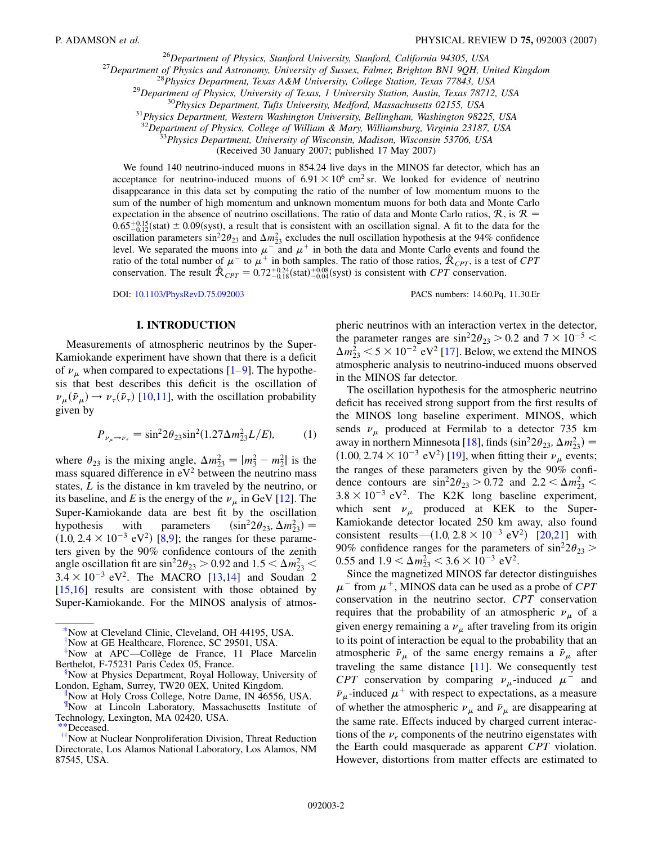<sup>26</sup>*Department of Physics, Stanford University, Stanford, California 94305, USA*

<sup>27</sup>*Department of Physics and Astronomy, University of Sussex, Falmer, Brighton BN1 9QH, United Kingdom*

<sup>28</sup>*Physics Department, Texas A&M University, College Station, Texas 77843, USA*

<sup>29</sup>*Department of Physics, University of Texas, 1 University Station, Austin, Texas 78712, USA*

<sup>30</sup>*Physics Department, Tufts University, Medford, Massachusetts 02155, USA*

<sup>31</sup>*Physics Department, Western Washington University, Bellingham, Washington 98225, USA*

<sup>32</sup>*Department of Physics, College of William & Mary, Williamsburg, Virginia 23187, USA*

<sup>33</sup>*Physics Department, University of Wisconsin, Madison, Wisconsin 53706, USA*

(Received 30 January 2007; published 17 May 2007)

We found 140 neutrino-induced muons in 854.24 live days in the MINOS far detector, which has an acceptance for neutrino-induced muons of  $6.91 \times 10^6$  cm<sup>2</sup> sr. We looked for evidence of neutrino disappearance in this data set by computing the ratio of the number of low momentum muons to the sum of the number of high momentum and unknown momentum muons for both data and Monte Carlo expectation in the absence of neutrino oscillations. The ratio of data and Monte Carlo ratios,  $R$ , is  $R =$  $0.65^{+0.15}_{-0.12}$ (stat)  $\pm$  0.09(syst), a result that is consistent with an oscillation signal. A fit to the data for the oscillation parameters  $\sin^2 2\theta_{23}$  and  $\Delta m_{23}^2$  excludes the null oscillation hypothesis at the 94% confidence level. We separated the muons into  $\mu^-$  and  $\mu^+$  in both the data and Monte Carlo events and found the ratio of the total number of  $\mu^-$  to  $\mu^+$  in both samples. The ratio of those ratios,  $\hat{\mathcal{R}}_{CPT}$ , is a test of *CPT* conservation. The result  $\hat{\mathcal{R}}_{CPT} = 0.72^{+0.24}_{-0.18}$  (stat) $^{+0.08}_{-0.04}$  (syst) is consistent with *CPT* conservation.

DOI: [10.1103/PhysRevD.75.092003](http://dx.doi.org/10.1103/PhysRevD.75.092003) PACS numbers: 14.60.Pq, 11.30.Er

#### **I. INTRODUCTION**

Measurements of atmospheric neutrinos by the Super-Kamiokande experiment have shown that there is a deficit of  $\nu_{\mu}$  when compared to expectations [[1](#page-13-0)[–9](#page-13-1)]. The hypothesis that best describes this deficit is the oscillation of  $\nu_{\mu}(\bar{\nu}_{\mu}) \rightarrow \nu_{\tau}(\bar{\nu}_{\tau})$  [\[10,](#page-13-2)[11\]](#page-13-3), with the oscillation probability given by

$$
P_{\nu_{\mu}\to\nu_{\tau}} = \sin^2 2\theta_{23} \sin^2(1.27 \Delta m_{23}^2 L/E),\tag{1}
$$

where  $\theta_{23}$  is the mixing angle,  $\Delta m_{23}^2 = |m_3^2 - m_2^2|$  is the mass squared difference in  $eV^2$  between the neutrino mass states, *L* is the distance in km traveled by the neutrino, or its baseline, and *E* is the energy of the  $\nu_{\mu}$  in GeV [[12](#page-13-4)]. The Super-Kamiokande data are best fit by the oscillation hypothesis with parameters  $(\sin^2 2\theta_{23}, \Delta m_{23}^2)$  =  $(1.0, 2.4 \times 10^{-3} \text{ eV}^2)$  [[8](#page-13-5)[,9\]](#page-13-1); the ranges for these parameters given by the 90% confidence contours of the zenith angle oscillation fit are  $\sin^2 2\theta_{23} > 0.92$  and  $1.5 < \Delta m_{23}^2 <$  $3.4 \times 10^{-3}$  eV<sup>2</sup>. The MACRO [[13](#page-13-6),[14](#page-13-7)] and Soudan 2 [\[15](#page-13-8)[,16\]](#page-13-9) results are consistent with those obtained by Super-Kamiokande. For the MINOS analysis of atmos-

 $\frac{H}{N}$ Now at Holy Cross College, Notre Dame, IN 46556, USA.

{Now at Lincoln Laboratory, Massachusetts Institute of Technology, Lexington, MA 02420, USA.

[††](#page-0-2)Now at Nuclear Nonproliferation Division, Threat Reduction Directorate, Los Alamos National Laboratory, Los Alamos, NM 87545, USA.

pheric neutrinos with an interaction vertex in the detector, the parameter ranges are  $\sin^2 2\theta_{23} > 0.2$  and  $7 \times 10^{-5} <$  $\Delta m_{23}^2$   $<$  5  $\times$  10<sup>-2</sup> eV<sup>2</sup> [[17](#page-13-10)]. Below, we extend the MINOS atmospheric analysis to neutrino-induced muons observed in the MINOS far detector.

The oscillation hypothesis for the atmospheric neutrino deficit has received strong support from the first results of the MINOS long baseline experiment. MINOS, which sends  $\nu_{\mu}$  produced at Fermilab to a detector 735 km away in northern Minnesota [\[18\]](#page-13-11), finds  $(\sin^2 2\theta_{23}, \Delta m_{23}^2)$  =  $(1.00, 2.74 \times 10^{-3} \text{ eV}^2)$  [[19](#page-13-12)], when fitting their  $\nu_{\mu}$  events; the ranges of these parameters given by the 90% confidence contours are  $\sin^2 2\theta_{23} > 0.72$  and  $2.2 < \Delta m_{23}^2 <$  $3.8 \times 10^{-3}$  eV<sup>2</sup>. The K2K long baseline experiment, which sent  $\nu_{\mu}$  produced at KEK to the Super-Kamiokande detector located 250 km away, also found consistent results— $(1.0, 2.8 \times 10^{-3} \text{ eV}^2)$  [\[20](#page-13-13)[,21\]](#page-13-14) with 90% confidence ranges for the parameters of  $\sin^2 2\theta_{23}$  > 0.55 and  $1.9 < \Delta m_{23}^2 < 3.6 \times 10^{-3}$  eV<sup>2</sup>.

<span id="page-2-0"></span>Since the magnetized MINOS far detector distinguishes  $\mu$ <sup>-</sup> from  $\mu$ <sup>+</sup>, MINOS data can be used as a probe of *CPT* conservation in the neutrino sector. *CPT* conservation requires that the probability of an atmospheric  $\nu_{\mu}$  of a given energy remaining a  $\nu_{\mu}$  after traveling from its origin to its point of interaction be equal to the probability that an atmospheric  $\bar{\nu}_{\mu}$  of the same energy remains a  $\bar{\nu}_{\mu}$  after traveling the same distance  $[11]$  $[11]$  $[11]$ . We consequently test *CPT* conservation by comparing  $\nu_{\mu}$ -induced  $\mu^{-}$  and  $\bar{\nu}_{\mu}$ -induced  $\mu^{+}$  with respect to expectations, as a measure of whether the atmospheric  $\nu_{\mu}$  and  $\bar{\nu}_{\mu}$  are disappearing at the same rate. Effects induced by charged current interactions of the  $\nu_e$  components of the neutrino eigenstates with the Earth could masquerade as apparent *CPT* violation. However, distortions from matter effects are estimated to

[<sup>\\*</sup>N](#page-0-0)ow at Cleveland Clinic, Cleveland, OH 44195, USA.

[<sup>†</sup>](#page-0-0)Now at GE Healthcare, Florence, SC 29501, USA.

[<sup>‡</sup>](#page-0-1)Now at APC—Colle`ge de France, 11 Place Marcelin Berthelot, F-75231 Paris Cedex 05, France.

<sup>&</sup>lt;sup>8</sup>Now at Physics Department, Royal Holloway, University of London, Egham, Surrey, TW20 0EX, United Kingdom.

<sup>\*</sup>Deceased.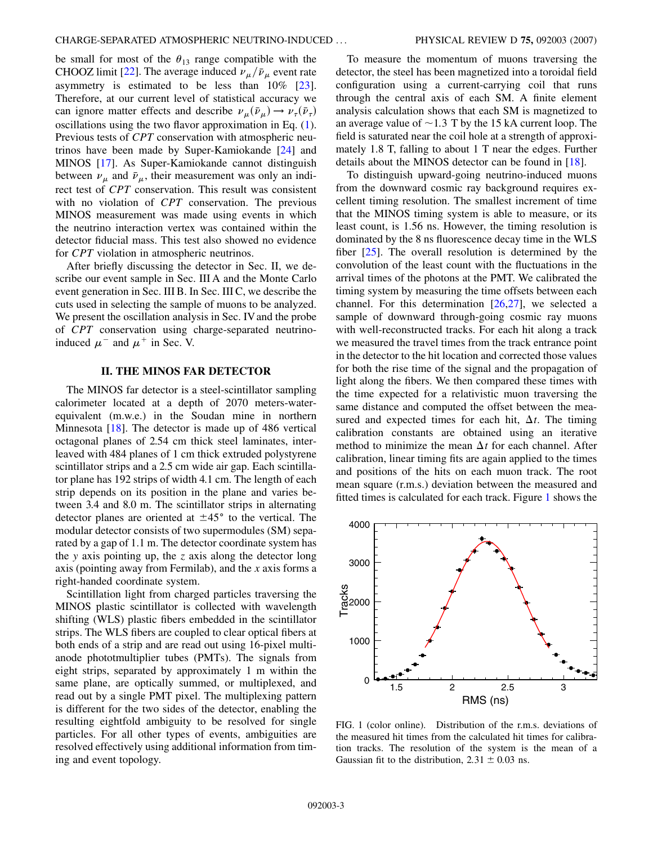be small for most of the  $\theta_{13}$  range compatible with the CHOOZ limit [\[22\]](#page-13-15). The average induced  $\nu_{\mu}/\bar{\nu}_{\mu}$  event rate asymmetry is estimated to be less than 10% [\[23\]](#page-13-16). Therefore, at our current level of statistical accuracy we can ignore matter effects and describe  $\nu_{\mu}(\bar{\nu}_{\mu}) \rightarrow \nu_{\tau}(\bar{\nu}_{\tau})$ oscillations using the two flavor approximation in Eq. ([1\)](#page-1-4). Previous tests of *CPT* conservation with atmospheric neutrinos have been made by Super-Kamiokande [\[24](#page-13-17)] and MINOS [[17](#page-13-10)]. As Super-Kamiokande cannot distinguish between  $\nu_{\mu}$  and  $\bar{\nu}_{\mu}$ , their measurement was only an indirect test of *CPT* conservation. This result was consistent with no violation of *CPT* conservation. The previous MINOS measurement was made using events in which the neutrino interaction vertex was contained within the detector fiducial mass. This test also showed no evidence for *CPT* violation in atmospheric neutrinos.

After briefly discussing the detector in Sec. II, we describe our event sample in Sec. III A and the Monte Carlo event generation in Sec. III B. In Sec. III C, we describe the cuts used in selecting the sample of muons to be analyzed. We present the oscillation analysis in Sec. IV and the probe of *CPT* conservation using charge-separated neutrinoinduced  $\mu^-$  and  $\mu^+$  in Sec. V.

#### **II. THE MINOS FAR DETECTOR**

The MINOS far detector is a steel-scintillator sampling calorimeter located at a depth of 2070 meters-waterequivalent (m.w.e.) in the Soudan mine in northern Minnesota [\[18\]](#page-13-11). The detector is made up of 486 vertical octagonal planes of 2.54 cm thick steel laminates, interleaved with 484 planes of 1 cm thick extruded polystyrene scintillator strips and a 2.5 cm wide air gap. Each scintillator plane has 192 strips of width 4.1 cm. The length of each strip depends on its position in the plane and varies between 3.4 and 8.0 m. The scintillator strips in alternating detector planes are oriented at  $\pm 45^{\circ}$  to the vertical. The modular detector consists of two supermodules (SM) separated by a gap of 1.1 m. The detector coordinate system has the *y* axis pointing up, the *z* axis along the detector long axis (pointing away from Fermilab), and the *x* axis forms a right-handed coordinate system.

Scintillation light from charged particles traversing the MINOS plastic scintillator is collected with wavelength shifting (WLS) plastic fibers embedded in the scintillator strips. The WLS fibers are coupled to clear optical fibers at both ends of a strip and are read out using 16-pixel multianode phototmultiplier tubes (PMTs). The signals from eight strips, separated by approximately 1 m within the same plane, are optically summed, or multiplexed, and read out by a single PMT pixel. The multiplexing pattern is different for the two sides of the detector, enabling the resulting eightfold ambiguity to be resolved for single particles. For all other types of events, ambiguities are resolved effectively using additional information from timing and event topology.

<span id="page-3-0"></span>To measure the momentum of muons traversing the detector, the steel has been magnetized into a toroidal field configuration using a current-carrying coil that runs through the central axis of each SM. A finite element analysis calculation shows that each SM is magnetized to an average value of  $\sim$  1.3 T by the 15 kA current loop. The field is saturated near the coil hole at a strength of approximately 1.8 T, falling to about 1 T near the edges. Further details about the MINOS detector can be found in [[18](#page-13-11)].

To distinguish upward-going neutrino-induced muons from the downward cosmic ray background requires excellent timing resolution. The smallest increment of time that the MINOS timing system is able to measure, or its least count, is 1.56 ns. However, the timing resolution is dominated by the 8 ns fluorescence decay time in the WLS fiber [[25](#page-13-18)]. The overall resolution is determined by the convolution of the least count with the fluctuations in the arrival times of the photons at the PMT. We calibrated the timing system by measuring the time offsets between each channel. For this determination [\[26](#page-13-19)[,27\]](#page-13-20), we selected a sample of downward through-going cosmic ray muons with well-reconstructed tracks. For each hit along a track we measured the travel times from the track entrance point in the detector to the hit location and corrected those values for both the rise time of the signal and the propagation of light along the fibers. We then compared these times with the time expected for a relativistic muon traversing the same distance and computed the offset between the measured and expected times for each hit,  $\Delta t$ . The timing calibration constants are obtained using an iterative method to minimize the mean  $\Delta t$  for each channel. After calibration, linear timing fits are again applied to the times and positions of the hits on each muon track. The root mean square (r.m.s.) deviation between the measured and fitted times is calculated for each track. Figure [1](#page-2-0) shows the



FIG. 1 (color online). Distribution of the r.m.s. deviations of the measured hit times from the calculated hit times for calibration tracks. The resolution of the system is the mean of a Gaussian fit to the distribution,  $2.31 \pm 0.03$  ns.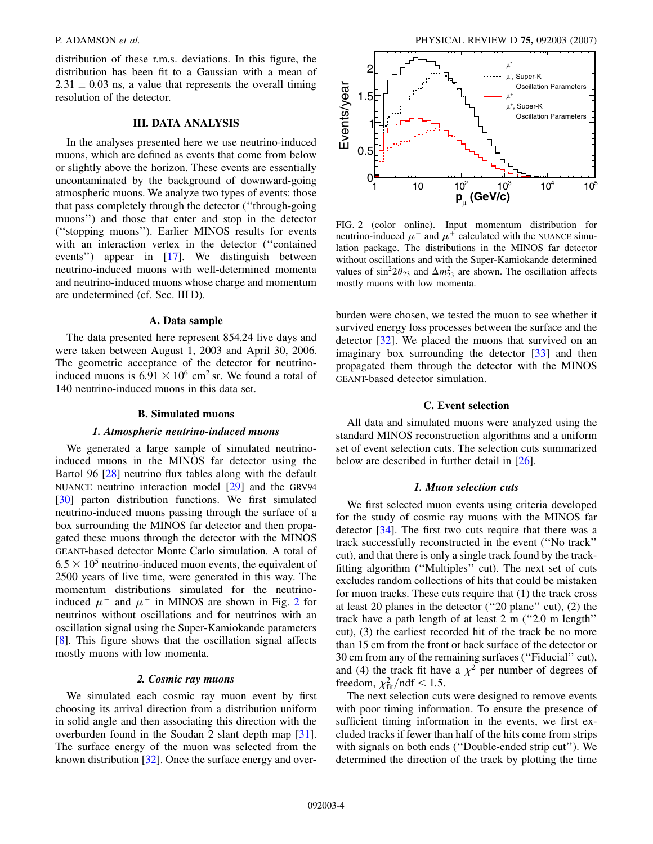distribution of these r.m.s. deviations. In this figure, the distribution has been fit to a Gaussian with a mean of  $2.31 \pm 0.03$  ns, a value that represents the overall timing resolution of the detector.

# **III. DATA ANALYSIS**

In the analyses presented here we use neutrino-induced muons, which are defined as events that come from below or slightly above the horizon. These events are essentially uncontaminated by the background of downward-going atmospheric muons. We analyze two types of events: those that pass completely through the detector (''through-going muons'') and those that enter and stop in the detector (''stopping muons''). Earlier MINOS results for events with an interaction vertex in the detector (''contained events'') appear in [[17](#page-13-10)]. We distinguish between neutrino-induced muons with well-determined momenta and neutrino-induced muons whose charge and momentum are undetermined (cf. Sec. III D).

#### **A. Data sample**

<span id="page-4-0"></span>The data presented here represent 854.24 live days and were taken between August 1, 2003 and April 30, 2006. The geometric acceptance of the detector for neutrinoinduced muons is  $6.91 \times 10^6$  cm<sup>2</sup> sr. We found a total of 140 neutrino-induced muons in this data set.

#### **B. Simulated muons**

#### *1. Atmospheric neutrino-induced muons*

We generated a large sample of simulated neutrinoinduced muons in the MINOS far detector using the Bartol 96 [\[28\]](#page-13-21) neutrino flux tables along with the default NUANCE neutrino interaction model [\[29\]](#page-13-22) and the GRV94 [\[30\]](#page-13-23) parton distribution functions. We first simulated neutrino-induced muons passing through the surface of a box surrounding the MINOS far detector and then propagated these muons through the detector with the MINOS GEANT-based detector Monte Carlo simulation. A total of  $6.5 \times 10^5$  neutrino-induced muon events, the equivalent of 2500 years of live time, were generated in this way. The momentum distributions simulated for the neutrinoinduced  $\mu^-$  and  $\mu^+$  in MINOS are shown in Fig. [2](#page-3-0) for neutrinos without oscillations and for neutrinos with an oscillation signal using the Super-Kamiokande parameters [\[8\]](#page-13-5). This figure shows that the oscillation signal affects mostly muons with low momenta.

#### *2. Cosmic ray muons*

We simulated each cosmic ray muon event by first choosing its arrival direction from a distribution uniform in solid angle and then associating this direction with the overburden found in the Soudan 2 slant depth map [\[31\]](#page-13-24). The surface energy of the muon was selected from the known distribution [\[32\]](#page-13-25). Once the surface energy and over-

<span id="page-4-1"></span>

FIG. 2 (color online). Input momentum distribution for neutrino-induced  $\mu^-$  and  $\mu^+$  calculated with the NUANCE simulation package. The distributions in the MINOS far detector without oscillations and with the Super-Kamiokande determined values of  $\sin^2 2\theta_{23}$  and  $\Delta m_{23}^2$  are shown. The oscillation affects mostly muons with low momenta.

burden were chosen, we tested the muon to see whether it survived energy loss processes between the surface and the detector [\[32\]](#page-13-25). We placed the muons that survived on an imaginary box surrounding the detector [[33](#page-13-26)] and then propagated them through the detector with the MINOS GEANT-based detector simulation.

#### **C. Event selection**

All data and simulated muons were analyzed using the standard MINOS reconstruction algorithms and a uniform set of event selection cuts. The selection cuts summarized below are described in further detail in [\[26\]](#page-13-19).

#### *1. Muon selection cuts*

We first selected muon events using criteria developed for the study of cosmic ray muons with the MINOS far detector [\[34\]](#page-13-27). The first two cuts require that there was a track successfully reconstructed in the event (''No track'' cut), and that there is only a single track found by the trackfitting algorithm (''Multiples'' cut). The next set of cuts excludes random collections of hits that could be mistaken for muon tracks. These cuts require that (1) the track cross at least 20 planes in the detector (''20 plane'' cut), (2) the track have a path length of at least 2 m (''2.0 m length'' cut), (3) the earliest recorded hit of the track be no more than 15 cm from the front or back surface of the detector or 30 cm from any of the remaining surfaces (''Fiducial'' cut), and (4) the track fit have a  $\chi^2$  per number of degrees of freedom,  $\chi^2_{\text{fit}}/\text{ndf} < 1.5$ . determined the direction of the track by the direction of the track by plotting the direction of the track by plotting algorithm (4) the track by plotting algorithm (4) the track by plotting the direction of the track by

The next selection cuts were designed to remove events with poor timing information. To ensure the presence of sufficient timing information in the events, we first excluded tracks if fewer than half of the hits come from strips with signals on both ends (''Double-ended strip cut''). We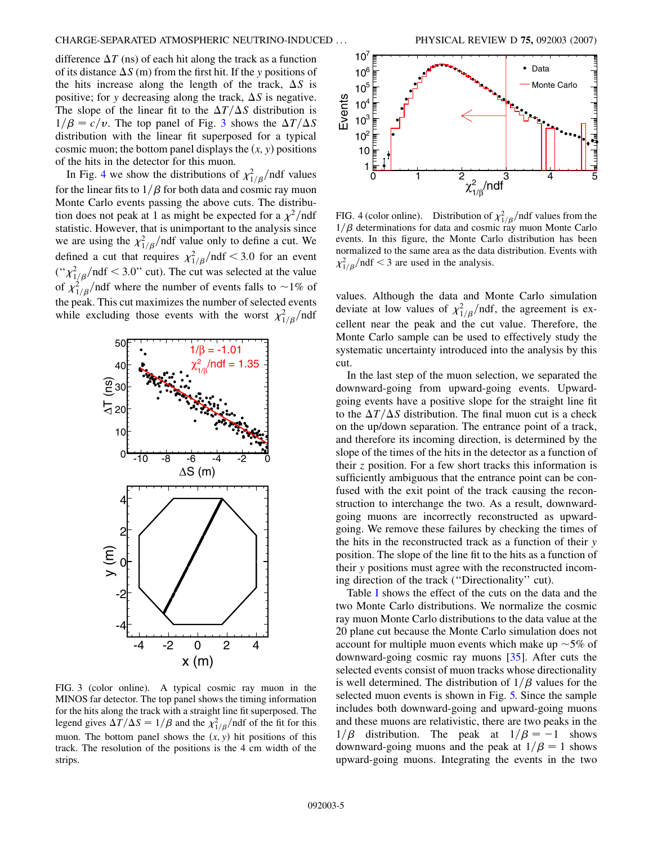<span id="page-5-0"></span>difference  $\Delta T$  (ns) of each hit along the track as a function of its distance  $\Delta S$  (m) from the first hit. If the *y* positions of the hits increase along the length of the track,  $\Delta S$  is positive; for *y* decreasing along the track,  $\Delta S$  is negative. The slope of the linear fit to the  $\Delta T/\Delta S$  distribution is  $1/\beta = c/v$ . The top panel of Fig. [3](#page-4-0) shows the  $\Delta T/\Delta S$ distribution with the linear fit superposed for a typical cosmic muon; the bottom panel displays the  $(x, y)$  positions of the hits in the detector for this muon.

In Fig. [4](#page-4-1) we show the distributions of  $\chi^2_{1/\beta}$ /ndf values for the linear fits to  $1/\beta$  for both data and cosmic ray muon Monte Carlo events passing the above cuts. The distribution does not peak at 1 as might be expected for a  $\chi^2$ /ndf statistic. However, that is unimportant to the analysis since we are using the  $\chi^2_{1/\beta}$ /ndf value only to define a cut. We defined a cut that requires  $\chi^2_{1/\beta}/\text{ndf} < 3.0$  for an event  $\binom{1}{1/\beta}$  and  $f$  < 3.0" cut). The cut was selected at the value of  $\chi^2_{1/\beta}$ /ndf where the number of events falls to ~1% of the peak. This cut maximizes the number of selected events while excluding those events with the worst  $\chi^2_{1/\beta}$ /ndf



<span id="page-5-1"></span>FIG. 3 (color online). A typical cosmic ray muon in the MINOS far detector. The top panel shows the timing information for the hits along the track with a straight line fit superposed. The legend gives  $\Delta T/\Delta S = 1/\beta$  and the  $\chi^2_{1/\beta}/\text{ndf}$  of the fit for this muon. The bottom panel shows the  $(x, y)$  hit positions of this track. The resolution of the positions is the 4 cm width of the strips.



FIG. 4 (color online). Distribution of  $\chi^2_{1/\beta}$ /ndf values from the  $1/\beta$  determinations for data and cosmic ray muon Monte Carlo events. In this figure, the Monte Carlo distribution has been normalized to the same area as the data distribution. Events with  $\chi^2_{1/\beta}$ /ndf < 3 are used in the analysis.

values. Although the data and Monte Carlo simulation deviate at low values of  $\chi^2_{1/\beta}$ /ndf, the agreement is excellent near the peak and the cut value. Therefore, the Monte Carlo sample can be used to effectively study the systematic uncertainty introduced into the analysis by this cut.

In the last step of the muon selection, we separated the downward-going from upward-going events. Upwardgoing events have a positive slope for the straight line fit to the  $\Delta T/\Delta S$  distribution. The final muon cut is a check on the up/down separation. The entrance point of a track, and therefore its incoming direction, is determined by the slope of the times of the hits in the detector as a function of their *z* position. For a few short tracks this information is sufficiently ambiguous that the entrance point can be confused with the exit point of the track causing the reconstruction to interchange the two. As a result, downwardgoing muons are incorrectly reconstructed as upwardgoing. We remove these failures by checking the times of the hits in the reconstructed track as a function of their *y* position. The slope of the line fit to the hits as a function of their *y* positions must agree with the reconstructed incoming direction of the track (''Directionality'' cut).

<span id="page-5-2"></span>Table [I](#page-5-0) shows the effect of the cuts on the data and the two Monte Carlo distributions. We normalize the cosmic ray muon Monte Carlo distributions to the data value at the 20 plane cut because the Monte Carlo simulation does not account for multiple muon events which make up  $\sim$  5% of downward-going cosmic ray muons [\[35\]](#page-13-28). After cuts the selected events consist of muon tracks whose directionality is well determined. The distribution of  $1/\beta$  values for the selected muon events is shown in Fig. [5.](#page-5-1) Since the sample includes both downward-going and upward-going muons and these muons are relativistic, there are two peaks in the  $1/\beta$  distribution. The peak at  $1/\beta = -1$  shows downward-going muons and the peak at  $1/\beta = 1$  shows upward-going muons. Integrating the events in the two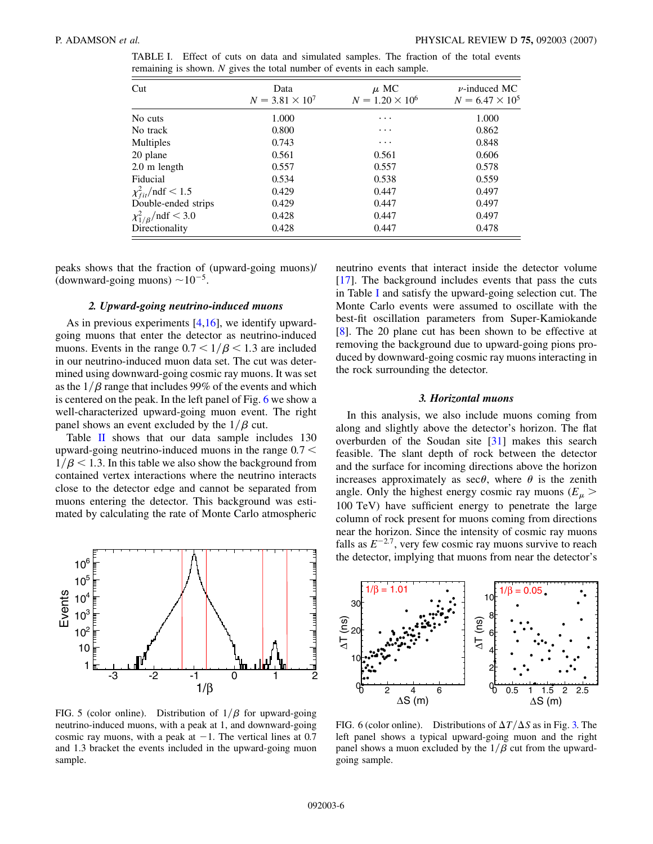<span id="page-6-0"></span>

| TABLE I. Effect of cuts on data and simulated samples. The fraction of the total events |  |  |  |  |  |  |  |
|-----------------------------------------------------------------------------------------|--|--|--|--|--|--|--|
| remaining is shown. $N$ gives the total number of events in each sample.                |  |  |  |  |  |  |  |

| Cut                                | Data<br>$N = 3.81 \times 10^{7}$ | $\mu$ MC<br>$N = 1.20 \times 10^6$ | $\nu$ -induced MC<br>$N = 6.47 \times 10^5$ |  |
|------------------------------------|----------------------------------|------------------------------------|---------------------------------------------|--|
| No cuts                            | 1.000                            | $\cdots$                           | 1.000                                       |  |
| No track                           | 0.800                            | $\cdots$                           | 0.862                                       |  |
| Multiples                          | 0.743                            | $\cdots$                           | 0.848                                       |  |
| 20 plane                           | 0.561                            | 0.561                              | 0.606                                       |  |
| $2.0 \text{ m}$ length             | 0.557                            | 0.557                              | 0.578                                       |  |
| Fiducial                           | 0.534                            | 0.538                              | 0.559                                       |  |
| $\chi^2_{fit}$ /ndf < 1.5          | 0.429                            | 0.447                              | 0.497                                       |  |
| Double-ended strips                | 0.429                            | 0.447                              | 0.497                                       |  |
| $\chi_{1/\beta}^2/{\rm ndf} < 3.0$ | 0.428                            | 0.447                              | 0.497                                       |  |
| Directionality                     | 0.428                            | 0.447                              | 0.478                                       |  |

peaks shows that the fraction of (upward-going muons)/ (downward-going muons)  $\sim 10^{-5}$ .

#### *2. Upward-going neutrino-induced muons*

As in previous experiments [\[4](#page-13-29)[,16\]](#page-13-9), we identify upwardgoing muons that enter the detector as neutrino-induced muons. Events in the range  $0.7 < 1/\beta < 1.3$  are included in our neutrino-induced muon data set. The cut was determined using downward-going cosmic ray muons. It was set as the  $1/\beta$  range that includes 99% of the events and which is centered on the peak. In the left panel of Fig. [6](#page-5-2) we show a well-characterized upward-going muon event. The right panel shows an event excluded by the  $1/\beta$  cut.

Table [II](#page-6-0) shows that our data sample includes 130 upward-going neutrino-induced muons in the range 0*:*7 *<*  $1/\beta$  < 1.3. In this table we also show the background from contained vertex interactions where the neutrino interacts close to the detector edge and cannot be separated from muons entering the detector. This background was estimated by calculating the rate of Monte Carlo atmospheric

<span id="page-6-1"></span>

FIG. 5 (color online). Distribution of  $1/\beta$  for upward-going neutrino-induced muons, with a peak at 1, and downward-going cosmic ray muons, with a peak at  $-1$ . The vertical lines at 0.7 and 1.3 bracket the events included in the upward-going muon sample.

neutrino events that interact inside the detector volume [\[17\]](#page-13-10). The background includes events that pass the cuts in Table [I](#page-5-0) and satisfy the upward-going selection cut. The Monte Carlo events were assumed to oscillate with the best-fit oscillation parameters from Super-Kamiokande [\[8\]](#page-13-5). The 20 plane cut has been shown to be effective at removing the background due to upward-going pions produced by downward-going cosmic ray muons interacting in the rock surrounding the detector.

#### *3. Horizontal muons*

In this analysis, we also include muons coming from along and slightly above the detector's horizon. The flat overburden of the Soudan site [[31](#page-13-24)] makes this search feasible. The slant depth of rock between the detector and the surface for incoming directions above the horizon increases approximately as  $\sec\theta$ , where  $\theta$  is the zenith angle. Only the highest energy cosmic ray muons ( $E_\mu$  > 100 TeV) have sufficient energy to penetrate the large column of rock present for muons coming from directions near the horizon. Since the intensity of cosmic ray muons falls as  $E^{-2.7}$ , very few cosmic ray muons survive to reach the detector, implying that muons from near the detector's

<span id="page-6-2"></span>

FIG. 6 (color online). Distributions of  $\Delta T/\Delta S$  as in Fig. [3.](#page-4-0) The left panel shows a typical upward-going muon and the right panel shows a muon excluded by the  $1/\beta$  cut from the upwardgoing sample.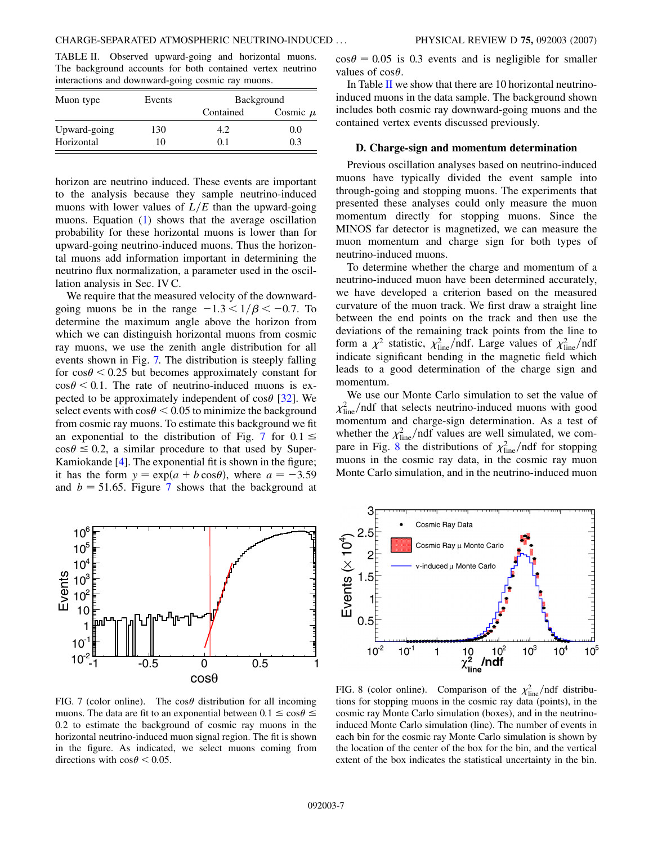TABLE II. Observed upward-going and horizontal muons. The background accounts for both contained vertex neutrino interactions and downward-going cosmic ray muons.

| Muon type    | Events | <b>Background</b> |              |  |  |
|--------------|--------|-------------------|--------------|--|--|
|              |        | Contained         | Cosmic $\mu$ |  |  |
| Upward-going | 130    | 4.2               | 0.0          |  |  |
| Horizontal   | 10     | 0.1               | 0.3          |  |  |

horizon are neutrino induced. These events are important to the analysis because they sample neutrino-induced muons with lower values of  $L/E$  than the upward-going muons. Equation [\(1\)](#page-1-4) shows that the average oscillation probability for these horizontal muons is lower than for upward-going neutrino-induced muons. Thus the horizontal muons add information important in determining the neutrino flux normalization, a parameter used in the oscillation analysis in Sec. IV C.

We require that the measured velocity of the downwardgoing muons be in the range  $-1.3 < 1/\beta < -0.7$ . To determine the maximum angle above the horizon from which we can distinguish horizontal muons from cosmic ray muons, we use the zenith angle distribution for all events shown in Fig. [7.](#page-6-1) The distribution is steeply falling for  $\cos \theta < 0.25$  but becomes approximately constant for  $\cos \theta \leq 0.1$ . The rate of neutrino-induced muons is expected to be approximately independent of  $\cos\theta$  [[32\]](#page-13-25). We select events with  $\cos \theta$  < 0.05 to minimize the background from cosmic ray muons. To estimate this background we fit an exponential to the distribution of Fig. [7](#page-6-1) for  $0.1 \le$  $\cos \theta \leq 0.2$ , a similar procedure to that used by Super-Kamiokande [\[4\]](#page-13-29). The exponential fit is shown in the figure; it has the form  $y = \exp(a + b \cos \theta)$ , where  $a = -3.59$ and  $b = 51.65$ . Figure [7](#page-6-1) shows that the background at

<span id="page-7-1"></span> $\cos \theta = 0.05$  is 0.3 events and is negligible for smaller values of  $\cos\theta$ .

In Table  $II$  we show that there are 10 horizontal neutrinoinduced muons in the data sample. The background shown includes both cosmic ray downward-going muons and the contained vertex events discussed previously.

#### **D. Charge-sign and momentum determination**

Previous oscillation analyses based on neutrino-induced muons have typically divided the event sample into through-going and stopping muons. The experiments that presented these analyses could only measure the muon momentum directly for stopping muons. Since the MINOS far detector is magnetized, we can measure the muon momentum and charge sign for both types of neutrino-induced muons.

To determine whether the charge and momentum of a neutrino-induced muon have been determined accurately, we have developed a criterion based on the measured curvature of the muon track. We first draw a straight line between the end points on the track and then use the deviations of the remaining track points from the line to form a  $\chi^2$  statistic,  $\chi^2_{\text{line}}$ /ndf. Large values of  $\chi^2_{\text{line}}$ /ndf indicate significant bending in the magnetic field which leads to a good determination of the charge sign and momentum.

We use our Monte Carlo simulation to set the value of  $\chi^2_{\text{line}}$ /ndf that selects neutrino-induced muons with good momentum and charge-sign determination. As a test of whether the  $\chi^2_{\text{line}}$ /ndf values are well simulated, we com-pare in Fig. [8](#page-6-2) the distributions of  $\chi^2_{\text{line}}$ /ndf for stopping muons in the cosmic ray data, in the cosmic ray muon Monte Carlo simulation, and in the neutrino-induced muon

<span id="page-7-0"></span>

FIG. 7 (color online). The  $\cos\theta$  distribution for all incoming muons. The data are fit to an exponential between  $0.1 \le \cos \theta \le$ 0*:*2 to estimate the background of cosmic ray muons in the horizontal neutrino-induced muon signal region. The fit is shown in the figure. As indicated, we select muons coming from directions with  $\cos \theta < 0.05$ .

<span id="page-7-2"></span>

FIG. 8 (color online). Comparison of the  $\chi^2_{\text{line}}$ /ndf distributions for stopping muons in the cosmic ray data (points), in the cosmic ray Monte Carlo simulation (boxes), and in the neutrinoinduced Monte Carlo simulation (line). The number of events in each bin for the cosmic ray Monte Carlo simulation is shown by the location of the center of the box for the bin, and the vertical extent of the box indicates the statistical uncertainty in the bin.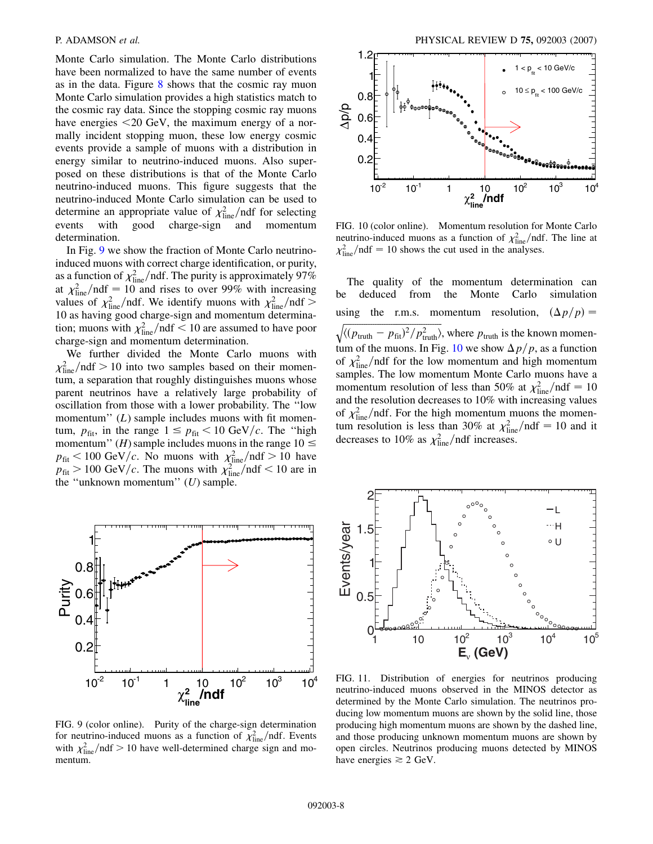<span id="page-8-0"></span>Monte Carlo simulation. The Monte Carlo distributions have been normalized to have the same number of events as in the data. Figure [8](#page-6-2) shows that the cosmic ray muon Monte Carlo simulation provides a high statistics match to the cosmic ray data. Since the stopping cosmic ray muons have energies *<*20 GeV, the maximum energy of a normally incident stopping muon, these low energy cosmic events provide a sample of muons with a distribution in energy similar to neutrino-induced muons. Also superposed on these distributions is that of the Monte Carlo neutrino-induced muons. This figure suggests that the neutrino-induced Monte Carlo simulation can be used to determine an appropriate value of  $\chi^2_{\text{line}}$  /ndf for selecting events with good charge-sign and momentum determination.

In Fig. [9](#page-7-0) we show the fraction of Monte Carlo neutrinoinduced muons with correct charge identification, or purity, as a function of  $\chi^2_{\text{line}}$ /ndf. The purity is approximately 97% at  $\chi^2_{\text{line}}/ndf = 10$  and rises to over 99% with increasing values of  $\chi^2_{\text{line}}$ /ndf. We identify muons with  $\chi^2_{\text{line}}$ /ndf > 10 as having good charge-sign and momentum determination; muons with  $\chi^2_{\text{line}}$  /ndf  $< 10$  are assumed to have poor charge-sign and momentum determination.

We further divided the Monte Carlo muons with  $\chi^2_{\text{line}}$ /ndf > 10 into two samples based on their momentum, a separation that roughly distinguishes muons whose parent neutrinos have a relatively large probability of oscillation from those with a lower probability. The ''low momentum" (*L*) sample includes muons with fit momentum,  $p_{\text{fit}}$ , in the range  $1 \leq p_{\text{fit}} < 10 \text{ GeV}/c$ . The "high momentum'' (*H*) sample includes muons in the range  $10 \le$  $p_{\text{fit}} < 100 \text{ GeV}/c$ . No muons with  $\chi^2_{\text{line}}/\text{ndf} > 10$  have  $p_{\text{fit}} > 100 \text{ GeV}/c$ . The muons with  $\chi^2_{\text{line}}/ndf < 10$  are in the ''unknown momentum'' (*U*) sample.

<span id="page-8-1"></span>

FIG. 9 (color online). Purity of the charge-sign determination for neutrino-induced muons as a function of  $\chi^2_{\text{line}}$ /ndf. Events with  $\chi^2_{\text{line}}$ /ndf > 10 have well-determined charge sign and momentum.

<span id="page-8-2"></span>

FIG. 10 (color online). Momentum resolution for Monte Carlo neutrino-induced muons as a function of  $\chi^2_{\text{line}}$  /ndf. The line at  $\chi^2_{\text{line}}$ /ndf = 10 shows the cut used in the analyses.

The quality of the momentum determination can be deduced from the Monte Carlo simulation using the r.m.s. momentum resolution,  $(\Delta p/p)$  =  $\sqrt{\langle (p_{\text{truth}} - p_{\text{fit}})^2 / p_{\text{truth}}^2 \rangle}$ , where  $p_{\text{truth}}$  is the known momen-tum of the muons. In Fig. [10](#page-7-1) we show  $\Delta p/p$ , as a function of  $\chi^2_{\text{line}}$ /ndf for the low momentum and high momentum samples. The low momentum Monte Carlo muons have a momentum resolution of less than 50% at  $\chi^2_{\text{line}}/\text{ndf} = 10$ and the resolution decreases to 10% with increasing values of  $\chi^2_{\text{line}}$ /ndf. For the high momentum muons the momentum resolution is less than 30% at  $\chi^2_{\text{line}}/ndf = 10$  and it decreases to 10% as  $\chi^2_{\text{line}}$ /ndf increases.



FIG. 11. Distribution of energies for neutrinos producing neutrino-induced muons observed in the MINOS detector as determined by the Monte Carlo simulation. The neutrinos producing low momentum muons are shown by the solid line, those producing high momentum muons are shown by the dashed line, and those producing unknown momentum muons are shown by open circles. Neutrinos producing muons detected by MINOS have energies  $\geq 2$  GeV.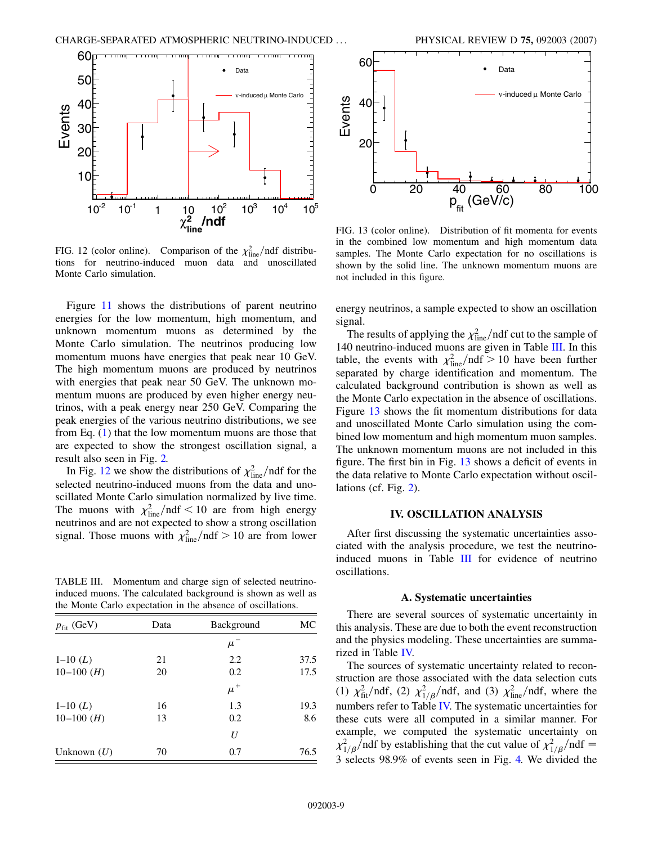<span id="page-9-0"></span>

FIG. 12 (color online). Comparison of the  $\chi^2_{\text{line}}$ /ndf distributions for neutrino-induced muon data and unoscillated Monte Carlo simulation.

Figure [11](#page-7-2) shows the distributions of parent neutrino energies for the low momentum, high momentum, and unknown momentum muons as determined by the Monte Carlo simulation. The neutrinos producing low momentum muons have energies that peak near 10 GeV. The high momentum muons are produced by neutrinos with energies that peak near 50 GeV. The unknown momentum muons are produced by even higher energy neutrinos, with a peak energy near 250 GeV. Comparing the peak energies of the various neutrino distributions, we see from Eq.  $(1)$  $(1)$  that the low momentum muons are those that are expected to show the strongest oscillation signal, a result also seen in Fig. [2.](#page-3-0)

In Fig. [12](#page-8-0) we show the distributions of  $\chi^2_{\text{line}}$  /ndf for the selected neutrino-induced muons from the data and unoscillated Monte Carlo simulation normalized by live time. The muons with  $\chi_{\text{line}}^2/\text{ndf} < 10$  are from high energy neutrinos and are not expected to show a strong oscillation signal. Those muons with  $\chi^2_{\text{line}}/ndf > 10$  are from lower

TABLE III. Momentum and charge sign of selected neutrinoinduced muons. The calculated background is shown as well as the Monte Carlo expectation in the absence of oscillations.

| $p_{\text{fit}}$ (GeV) | Data | Background | MC   |
|------------------------|------|------------|------|
|                        |      | $\mu^-$    |      |
| $1-10(L)$              | 21   | 2.2        | 37.5 |
| $10-100$ ( <i>H</i> )  | 20   | 0.2        | 17.5 |
|                        |      | $\mu^+$    |      |
| $1-10(L)$              | 16   | 1.3        | 19.3 |
| $10-100$ ( <i>H</i> )  | 13   | 0.2        | 8.6  |
|                        |      | U          |      |
| Unknown $(U)$          | 70   | 0.7        | 76.5 |



p<sub>fit</sub> (GeV/c) FIG. 13 (color online). Distribution of fit momenta for events

in the combined low momentum and high momentum data samples. The Monte Carlo expectation for no oscillations is shown by the solid line. The unknown momentum muons are not included in this figure.

energy neutrinos, a sample expected to show an oscillation signal.

The results of applying the  $\chi^2_{\text{line}}$  /ndf cut to the sample of 140 neutrino-induced muons are given in Table [III.](#page-8-1) In this table, the events with  $\chi^2_{\text{line}}/ndf > 10$  have been further separated by charge identification and momentum. The calculated background contribution is shown as well as the Monte Carlo expectation in the absence of oscillations. Figure [13](#page-8-2) shows the fit momentum distributions for data and unoscillated Monte Carlo simulation using the combined low momentum and high momentum muon samples. The unknown momentum muons are not included in this figure. The first bin in Fig. [13](#page-8-2) shows a deficit of events in the data relative to Monte Carlo expectation without oscillations (cf. Fig. [2](#page-3-0)).

#### **IV. OSCILLATION ANALYSIS**

After first discussing the systematic uncertainties associated with the analysis procedure, we test the neutrinoinduced muons in Table [III](#page-8-1) for evidence of neutrino oscillations.

#### **A. Systematic uncertainties**

There are several sources of systematic uncertainty in this analysis. These are due to both the event reconstruction and the physics modeling. These uncertainties are summarized in Table [IV.](#page-9-0)

<span id="page-9-1"></span>The sources of systematic uncertainty related to reconstruction are those associated with the data selection cuts (1)  $\chi^2_{\text{fit}}/\text{ndf}$ , (2)  $\chi^2_{1/\beta}/\text{ndf}$ , and (3)  $\chi^2_{\text{line}}/\text{ndf}$ , where the numbers refer to Table [IV.](#page-9-0) The systematic uncertainties for these cuts were all computed in a similar manner. For example, we computed the systematic uncertainty on  $\chi^2_{1/\beta}$ /ndf by establishing that the cut value of  $\chi^2_{1/\beta}$ /ndf = 3 selects 98.9% of events seen in Fig. [4.](#page-4-1) We divided the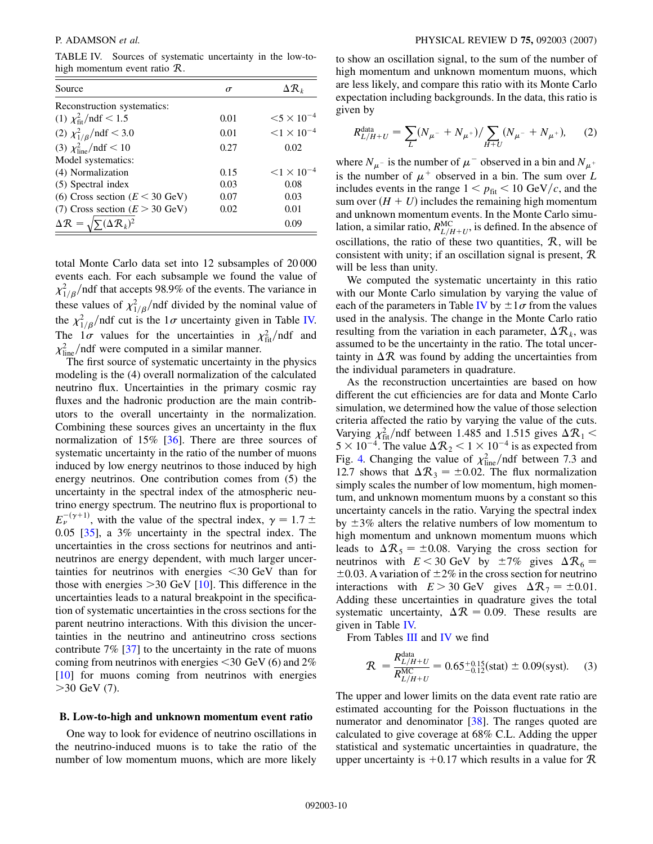TABLE IV. Sources of systematic uncertainty in the low-tohigh momentum event ratio R.

| Source                                                      | $\sigma$ | $\Delta {\cal R}_k$  |
|-------------------------------------------------------------|----------|----------------------|
| Reconstruction systematics:                                 |          |                      |
| (1) $\chi^2_{\text{fit}}$ /ndf < 1.5                        | 0.01     | $< 5 \times 10^{-4}$ |
| (2) $\chi^2_{1/\beta}/\text{ndf} < 3.0$                     | 0.01     | $< 1 \times 10^{-4}$ |
| (3) $\chi^2_{\text{line}}/ndf < 10$                         | 0.27     | 0.02                 |
| Model systematics:                                          |          |                      |
| (4) Normalization                                           | 0.15     | $< 1 \times 10^{-4}$ |
| (5) Spectral index                                          | 0.03     | 0.08                 |
| (6) Cross section ( $E < 30$ GeV)                           | 0.07     | 0.03                 |
| (7) Cross section $(E > 30 \text{ GeV})$                    | 0.02     | 0.01                 |
| $\Delta \mathcal{R} = \sqrt{\sum} (\Delta \mathcal{R}_k)^2$ |          | 0.09                 |

<span id="page-10-0"></span>total Monte Carlo data set into 12 subsamples of 20 000 events each. For each subsample we found the value of  $\chi_{1/\beta}^2$ /ndf that accepts 98.9% of the events. The variance in these values of  $\chi^2_{1/\beta}$ /ndf divided by the nominal value of the  $\chi^2_{1/\beta}$ /ndf cut is the  $1\sigma$  uncertainty given in Table [IV.](#page-9-0) The  $1\sigma$  values for the uncertainties in  $\chi^2_{\text{fit}}/ndf$  and  $\chi^2_{\text{line}}$ /ndf were computed in a similar manner.

The first source of systematic uncertainty in the physics modeling is the (4) overall normalization of the calculated neutrino flux. Uncertainties in the primary cosmic ray fluxes and the hadronic production are the main contributors to the overall uncertainty in the normalization. Combining these sources gives an uncertainty in the flux normalization of 15% [[36](#page-13-30)]. There are three sources of systematic uncertainty in the ratio of the number of muons induced by low energy neutrinos to those induced by high energy neutrinos. One contribution comes from (5) the uncertainty in the spectral index of the atmospheric neutrino energy spectrum. The neutrino flux is proportional to  $E_{\nu}^{-(\gamma+1)}$ , with the value of the spectral index,  $\gamma = 1.7 \pm$ 0*:*05 [[35](#page-13-28)], a 3% uncertainty in the spectral index. The uncertainties in the cross sections for neutrinos and antineutrinos are energy dependent, with much larger uncertainties for neutrinos with energies *<*30 GeV than for those with energies *>*30 GeV [[10](#page-13-2)]. This difference in the uncertainties leads to a natural breakpoint in the specification of systematic uncertainties in the cross sections for the parent neutrino interactions. With this division the uncertainties in the neutrino and antineutrino cross sections contribute 7% [[37](#page-13-31)] to the uncertainty in the rate of muons coming from neutrinos with energies *<*30 GeV (6) and 2% [\[10\]](#page-13-2) for muons coming from neutrinos with energies *>*30 GeV (7).

#### **B. Low-to-high and unknown momentum event ratio**

One way to look for evidence of neutrino oscillations in the neutrino-induced muons is to take the ratio of the number of low momentum muons, which are more likely <span id="page-10-1"></span>to show an oscillation signal, to the sum of the number of high momentum and unknown momentum muons, which are less likely, and compare this ratio with its Monte Carlo expectation including backgrounds. In the data, this ratio is given by

$$
R_{L/H+U}^{\text{data}} = \sum_{L} (N_{\mu^{-}} + N_{\mu^{+}}) / \sum_{H+U} (N_{\mu^{-}} + N_{\mu^{+}}), \qquad (2)
$$

where  $N_{\mu}$ - is the number of  $\mu$ <sup>-</sup> observed in a bin and  $N_{\mu}$ <sup>+</sup> is the number of  $\mu^+$  observed in a bin. The sum over L includes events in the range  $1 < p_{fit} < 10 \text{ GeV}/c$ , and the sum over  $(H + U)$  includes the remaining high momentum and unknown momentum events. In the Monte Carlo simulation, a similar ratio,  $R_{L/H+U}^{\text{MC}}$ , is defined. In the absence of oscillations, the ratio of these two quantities,  $R$ , will be consistent with unity; if an oscillation signal is present, R will be less than unity.

We computed the systematic uncertainty in this ratio with our Monte Carlo simulation by varying the value of each of the parameters in Table [IV](#page-9-0) by  $\pm 1\sigma$  from the values used in the analysis. The change in the Monte Carlo ratio resulting from the variation in each parameter,  $\Delta \mathcal{R}_k$ , was assumed to be the uncertainty in the ratio. The total uncertainty in  $\Delta \mathcal{R}$  was found by adding the uncertainties from the individual parameters in quadrature.

As the reconstruction uncertainties are based on how different the cut efficiencies are for data and Monte Carlo simulation, we determined how the value of those selection criteria affected the ratio by varying the value of the cuts. Varying  $\chi^2_{\text{fit}}$ /ndf between 1.485 and 1.515 gives  $\Delta \mathcal{R}_1$  <  $5 \times 10^{-4}$ . The value  $\Delta R_2 < 1 \times 10^{-4}$  is as expected from Fig. [4.](#page-4-1) Changing the value of  $\chi^2_{\text{line}}$ /ndf between 7.3 and 12.7 shows that  $\Delta R_3 = \pm 0.02$ . The flux normalization simply scales the number of low momentum, high momentum, and unknown momentum muons by a constant so this uncertainty cancels in the ratio. Varying the spectral index by  $\pm 3\%$  alters the relative numbers of low momentum to high momentum and unknown momentum muons which leads to  $\Delta \mathcal{R}_5 = \pm 0.08$ . Varying the cross section for neutrinos with  $E < 30$  GeV by  $\pm 7\%$  gives  $\Delta \mathcal{R}_6 =$  $\pm 0.03$ . A variation of  $\pm 2\%$  in the cross section for neutrino interactions with  $E > 30$  GeV gives  $\Delta \mathcal{R}_7 = \pm 0.01$ . Adding these uncertainties in quadrature gives the total systematic uncertainty,  $\Delta \mathcal{R} = 0.09$ . These results are given in Table [IV.](#page-9-0)

<span id="page-10-2"></span>From Tables [III](#page-8-1) and [IV](#page-9-0) we find

$$
\mathcal{R} = \frac{R_{L/H+U}^{\text{data}}}{R_{L/H+U}^{\text{MC}}} = 0.65^{+0.15}_{-0.12} \text{(stat)} \pm 0.09 \text{(syst)}.
$$
 (3)

The upper and lower limits on the data event rate ratio are estimated accounting for the Poisson fluctuations in the numerator and denominator [\[38](#page-13-32)]. The ranges quoted are calculated to give coverage at 68% C.L. Adding the upper statistical and systematic uncertainties in quadrature, the upper uncertainty is  $+0.17$  which results in a value for  $\mathcal{R}$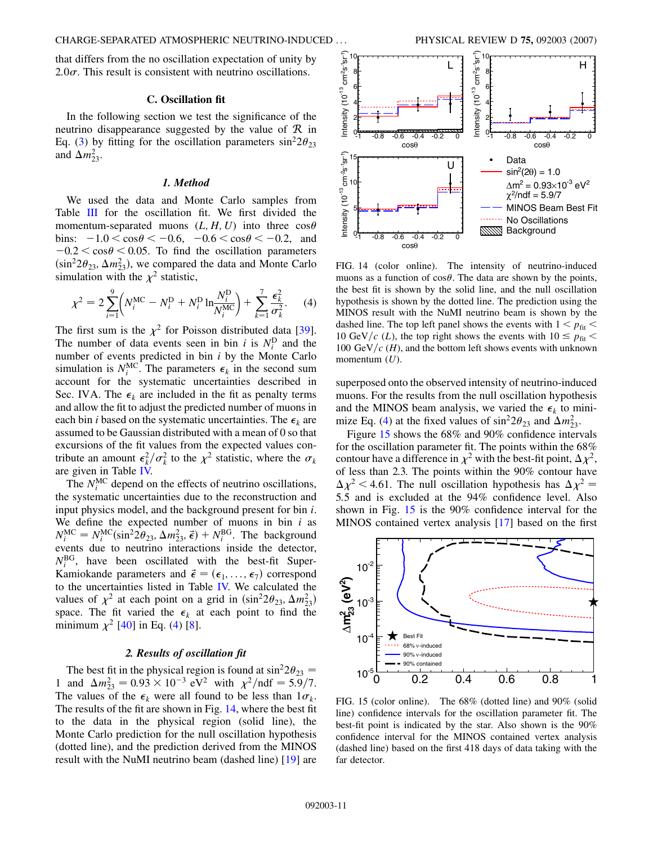that differs from the no oscillation expectation of unity by  $2.0\sigma$ . This result is consistent with neutrino oscillations.

#### **C. Oscillation fit**

In the following section we test the significance of the neutrino disappearance suggested by the value of  $\mathcal R$  in Eq. ([3](#page-9-1)) by fitting for the oscillation parameters  $\sin^2 2\theta_{23}$ and  $\Delta m_{23}^2$ .

#### *1. Method*

We used the data and Monte Carlo samples from Table [III](#page-8-1) for the oscillation fit. We first divided the momentum-separated muons  $(L, H, U)$  into three  $\cos\theta$  $\text{bins: } -1.0 < \cos \theta < -0.6, \quad -0.6 < \cos \theta < -0.2, \quad \text{and}$  $-0.2 < \cos\theta < 0.05$ . To find the oscillation parameters  $(\sin^2 2\theta_{23}, \Delta m_{23}^2)$ , we compared the data and Monte Carlo simulation with the  $\chi^2$  statistic,

$$
\chi^{2} = 2 \sum_{i=1}^{9} \left( N_{i}^{\text{MC}} - N_{i}^{\text{D}} + N_{i}^{\text{D}} \ln \frac{N_{i}^{\text{D}}}{N_{i}^{\text{MC}}} \right) + \sum_{k=1}^{7} \frac{\epsilon_{k}^{2}}{\sigma_{k}^{2}}.
$$
 (4)

The first sum is the  $\chi^2$  for Poisson distributed data [\[39\]](#page-13-33). The number of data events seen in bin *i* is  $N_i^D$  and the number of events predicted in bin *i* by the Monte Carlo simulation is  $N_i^{\text{MC}}$ . The parameters  $\epsilon_k$  in the second sum account for the systematic uncertainties described in Sec. IVA. The  $\epsilon_k$  are included in the fit as penalty terms and allow the fit to adjust the predicted number of muons in each bin *i* based on the systematic uncertainties. The  $\epsilon_k$  are assumed to be Gaussian distributed with a mean of 0 so that excursions of the fit values from the expected values contribute an amount  $\epsilon_k^2 / \sigma_k^2$  to the  $\chi^2$  statistic, where the  $\sigma_k$ are given in Table [IV.](#page-9-0)

The  $N_i^{\text{MC}}$  depend on the effects of neutrino oscillations, the systematic uncertainties due to the reconstruction and input physics model, and the background present for bin *i*. We define the expected number of muons in bin *i* as  $N_i^{\text{MC}} = N_i^{\text{MC}}(\sin^2 2\theta_{23}, \Delta m_{23}^2, \vec{\epsilon}) + N_i^{\text{BG}}$ . The background events due to neutrino interactions inside the detector,  $N_i^{BG}$ , have been oscillated with the best-fit Super-Kamiokande parameters and  $\vec{\epsilon} = (\epsilon_1, \ldots, \epsilon_7)$  correspond to the uncertainties listed in Table [IV.](#page-9-0) We calculated the values of  $\chi^2$  at each point on a grid in  $(\sin^2 2\theta_{23}, \Delta m_{23}^2)$ space. The fit varied the  $\epsilon_k$  at each point to find the minimum  $\chi^2$  [\[40\]](#page-13-34) in Eq. [\(4\)](#page-10-0) [[8\]](#page-13-5).

#### *2. Results of oscillation fit*

The best fit in the physical region is found at  $\sin^2 2\theta_{23} = 1$  and  $\Delta m_{23}^2 = 0.93 \times 10^{-3}$  eV<sup>2</sup> with  $\chi^2/\text{ndf} = 5.9/7$ . The values of the  $\epsilon_k$  were all found to be less than  $1\sigma_k$ . The results of the fit are shown in Fig. [14](#page-10-1), where the best fit to the data in the physical region (solid line), the Monte Carlo prediction for the null oscillation hypothesis (dotted line), and the prediction derived from the MINOS result with the NuMI neutrino beam (dashed line) [\[19\]](#page-13-12) are

<span id="page-11-0"></span>

<span id="page-11-1"></span>FIG. 14 (color online). The intensity of neutrino-induced muons as a function of  $\cos\theta$ . The data are shown by the points, the best fit is shown by the solid line, and the null oscillation hypothesis is shown by the dotted line. The prediction using the MINOS result with the NuMI neutrino beam is shown by the dashed line. The top left panel shows the events with  $1 < p_{\text{fit}} <$ 10 GeV/c (*L*), the top right shows the events with  $10 \le p_{\text{fit}} <$ 100 GeV/ $c$  (*H*), and the bottom left shows events with unknown momentum (*U*).

superposed onto the observed intensity of neutrino-induced muons. For the results from the null oscillation hypothesis and the MINOS beam analysis, we varied the  $\epsilon_k$  to mini-mize Eq. [\(4](#page-10-0)) at the fixed values of  $\sin^2 2\theta_{23}$  and  $\Delta m_{23}^2$ .

Figure [15](#page-10-2) shows the 68% and 90% confidence intervals for the oscillation parameter fit. The points within the 68% contour have a difference in  $\chi^2$  with the best-fit point,  $\Delta \chi^2$ , of less than 2.3. The points within the 90% contour have  $\Delta \chi^2$  < 4.61. The null oscillation hypothesis has  $\Delta \chi^2$  = 5*:*5 and is excluded at the 94% confidence level. Also shown in Fig. [15](#page-10-2) is the 90% confidence interval for the MINOS contained vertex analysis [[17](#page-13-10)] based on the first



FIG. 15 (color online). The 68% (dotted line) and 90% (solid line) confidence intervals for the oscillation parameter fit. The best-fit point is indicated by the star. Also shown is the 90% confidence interval for the MINOS contained vertex analysis (dashed line) based on the first 418 days of data taking with the far detector.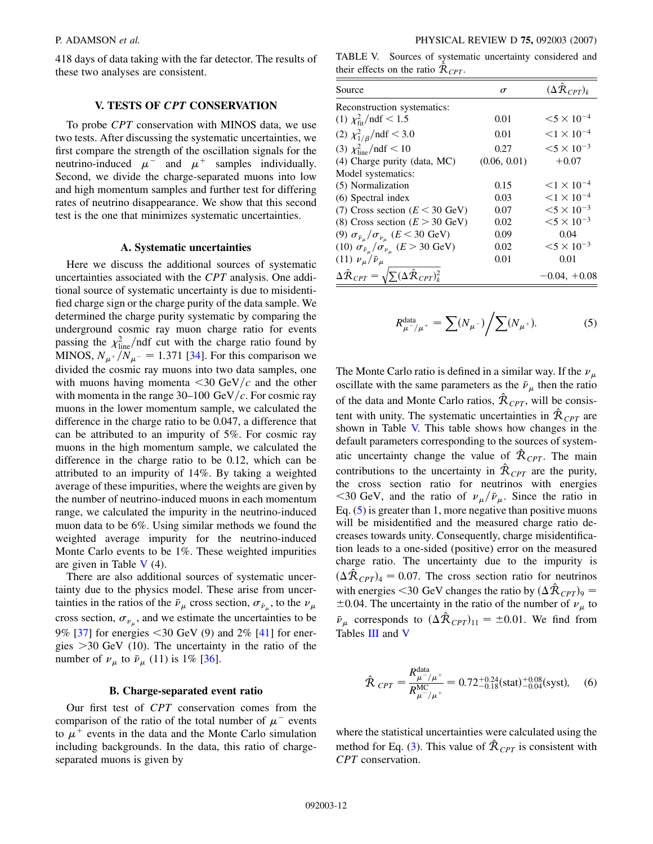418 days of data taking with the far detector. The results of these two analyses are consistent.

# **V. TESTS OF** *CPT* **CONSERVATION**

To probe *CPT* conservation with MINOS data, we use two tests. After discussing the systematic uncertainties, we first compare the strength of the oscillation signals for the neutrino-induced  $\mu^-$  and  $\mu^+$  samples individually. Second, we divide the charge-separated muons into low and high momentum samples and further test for differing rates of neutrino disappearance. We show that this second test is the one that minimizes systematic uncertainties.

#### **A. Systematic uncertainties**

<span id="page-12-1"></span>Here we discuss the additional sources of systematic uncertainties associated with the *CPT* analysis. One additional source of systematic uncertainty is due to misidentified charge sign or the charge purity of the data sample. We determined the charge purity systematic by comparing the underground cosmic ray muon charge ratio for events passing the  $\chi^2_{\text{line}}$ /ndf cut with the charge ratio found by MINOS,  $N_{\mu^+}/N_{\mu^-} = 1.371$  [[34](#page-13-27)]. For this comparison we divided the cosmic ray muons into two data samples, one with muons having momenta  $\langle 30 \text{ GeV}/c \rangle$  and the other with momenta in the range  $30-100 \text{ GeV}/c$ . For cosmic ray muons in the lower momentum sample, we calculated the difference in the charge ratio to be 0.047, a difference that can be attributed to an impurity of 5%. For cosmic ray muons in the high momentum sample, we calculated the difference in the charge ratio to be 0.12, which can be attributed to an impurity of 14%. By taking a weighted average of these impurities, where the weights are given by the number of neutrino-induced muons in each momentum range, we calculated the impurity in the neutrino-induced muon data to be 6%. Using similar methods we found the weighted average impurity for the neutrino-induced Monte Carlo events to be 1%. These weighted impurities are given in Table  $V(4)$  $V(4)$ .

<span id="page-12-0"></span>There are also additional sources of systematic uncertainty due to the physics model. These arise from uncertainties in the ratios of the  $\bar{\nu}_{\mu}$  cross section,  $\sigma_{\bar{\nu}_{\mu}}$ , to the  $\nu_{\mu}$ cross section,  $\sigma_{\nu_\mu}$ , and we estimate the uncertainties to be 9% [[37\]](#page-13-31) for energies *<*30 GeV (9) and 2% [\[41\]](#page-13-35) for energies *>*30 GeV (10). The uncertainty in the ratio of the number of  $\nu_{\mu}$  to  $\bar{\nu}_{\mu}$  (11) is 1% [\[36\]](#page-13-30).

#### **B. Charge-separated event ratio**

Our first test of *CPT* conservation comes from the comparison of the ratio of the total number of  $\mu^-$  events to  $\mu^+$  events in the data and the Monte Carlo simulation including backgrounds. In the data, this ratio of chargeseparated muons is given by

TABLE V. Sources of systematic uncertainty considered and their effects on the ratio  $\hat{R}_{CPT}$ .

| Source                                                                              | $\sigma$     | $(\Delta \bar{R}_{CPT})_k$         |
|-------------------------------------------------------------------------------------|--------------|------------------------------------|
| Reconstruction systematics:                                                         |              |                                    |
| (1) $\chi^2_{\text{fit}}$ /ndf < 1.5                                                | 0.01         | $< 5 \times 10^{-4}$               |
| (2) $\chi^2_{1/\beta}/\text{ndf} < 3.0$                                             | 0.01         | $< 1 \times 10^{-4}$               |
| (3) $\chi^2_{\text{line}}/ndf < 10$                                                 | 0.27         | $< 5 \times 10^{-3}$               |
| $(4)$ Charge purity (data, MC)                                                      | (0.06, 0.01) | $+0.07$                            |
| Model systematics:                                                                  |              |                                    |
| (5) Normalization                                                                   | 0.15         | $\leq$ 1 $\times$ 10 <sup>-4</sup> |
| (6) Spectral index                                                                  | 0.03         | $< 1 \times 10^{-4}$               |
| (7) Cross section ( $E < 30$ GeV)                                                   | 0.07         | $< 5 \times 10^{-3}$               |
| (8) Cross section $(E > 30 \text{ GeV})$                                            | 0.02         | $< 5 \times 10^{-3}$               |
| (9) $\sigma_{\bar{\nu}_{\mu}}/\sigma_{\nu_{\mu}}$ ( <i>E</i> < 30 GeV)              | 0.09         | 0.04                               |
| (10) $\sigma_{\bar{\nu}_\mu}/\sigma_{\nu_\mu}$ ( <i>E</i> > 30 GeV)                 | 0.02         | $< 5 \times 10^{-3}$               |
| (11) $\nu_{\mu}/\bar{\nu}_{\mu}$                                                    | 0.01         | 0.01                               |
| $\Delta \hat{\mathcal{R}}_{CPT} = \sqrt{\sum} (\Delta \hat{\mathcal{R}}_{CPT})_k^2$ |              | $-0.04, +0.08$                     |

$$
R_{\mu^{-}/\mu^{+}}^{\text{data}} = \sum (N_{\mu^{-}}) / \sum (N_{\mu^{+}}). \tag{5}
$$

The Monte Carlo ratio is defined in a similar way. If the  $\nu_{\mu}$ oscillate with the same parameters as the  $\bar{\nu}_{\mu}$  then the ratio of the data and Monte Carlo ratios,  $\hat{\mathcal{R}}_{CPT}$ , will be consistent with unity. The systematic uncertainties in  $\hat{\mathcal{R}}_{CPT}$  are shown in Table [V.](#page-11-0) This table shows how changes in the default parameters corresponding to the sources of systematic uncertainty change the value of  $\hat{\mathcal{R}}_{CPT}$ . The main contributions to the uncertainty in  $\hat{R}_{CPT}$  are the purity, the cross section ratio for neutrinos with energies <30 GeV, and the ratio of  $\nu_{\mu}/\bar{\nu}_{\mu}$ . Since the ratio in Eq. ([5](#page-11-1)) is greater than 1, more negative than positive muons will be misidentified and the measured charge ratio decreases towards unity. Consequently, charge misidentification leads to a one-sided (positive) error on the measured charge ratio. The uncertainty due to the impurity is  $(\Delta \hat{R}_{CPT})_4 = 0.07$ . The cross section ratio for neutrinos with energies <30 GeV changes the ratio by  $(\Delta \hat{R}_{CPT})_9 =$  $\pm 0.04$ . The uncertainty in the ratio of the number of  $\nu_{\mu}$  to  $\bar{\nu}_{\mu}$  corresponds to  $(\Delta \hat{R}_{CPT})_{11} = \pm 0.01$ . We find from Tables [III](#page-8-1) and [V](#page-11-0)

$$
\hat{\mathcal{R}}_{CPT} = \frac{R_{\mu^{-}/\mu^{+}}^{\text{data}}}{R_{\mu^{-}/\mu^{+}}^{\text{MC}}} = 0.72^{+0.24}_{-0.18} \text{(stat)}^{+0.08}_{-0.04} \text{(syst)}, \quad (6)
$$

where the statistical uncertainties were calculated using the method for Eq. [\(3\)](#page-9-1). This value of  $\hat{\mathcal{R}}_{CPT}$  is consistent with *CPT* conservation.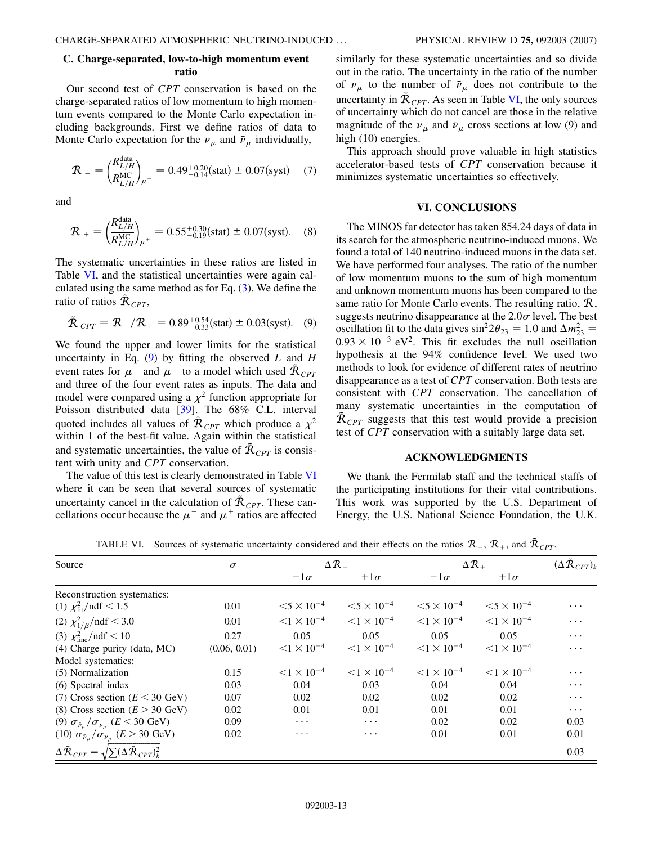### **C. Charge-separated, low-to-high momentum event ratio**

Our second test of *CPT* conservation is based on the charge-separated ratios of low momentum to high momentum events compared to the Monte Carlo expectation including backgrounds. First we define ratios of data to Monte Carlo expectation for the  $\nu_{\mu}$  and  $\bar{\nu}_{\mu}$  individually,

$$
\mathcal{R}_{-} = \left(\frac{R_{L/H}^{\text{data}}}{R_{L/H}^{\text{MC}}}\right)_{\mu^{-}} = 0.49^{+0.20}_{-0.14} \text{(stat)} \pm 0.07 \text{(syst)} \quad (7)
$$

<span id="page-13-0"></span>and

$$
\mathcal{R}_{+} = \left(\frac{R_{L/H}^{\text{data}}}{R_{L/H}^{\text{MC}}}\right)_{\mu^{+}} = 0.55^{+0.30}_{-0.19} \text{(stat)} \pm 0.07 \text{(syst)}. \quad (8)
$$

<span id="page-13-29"></span>The systematic uncertainties in these ratios are listed in Table [VI,](#page-12-0) and the statistical uncertainties were again calculated using the same method as for Eq.  $(3)$  $(3)$  $(3)$ . We define the ratio of ratios  $\tilde{\mathcal{R}}_{CPT}$ ,

$$
\tilde{\mathcal{R}}_{CPT} = \mathcal{R}_{-}/\mathcal{R}_{+} = 0.89^{+0.54}_{-0.33} \text{(stat)} \pm 0.03 \text{(syst)}.
$$
 (9)

<span id="page-13-5"></span><span id="page-13-1"></span>We found the upper and lower limits for the statistical uncertainty in Eq. [\(9](#page-12-1)) by fitting the observed *L* and *H* event rates for  $\mu^{-}$  and  $\mu^{+}$  to a model which used  $\tilde{\mathcal{R}}_{CPT}$ and three of the four event rates as inputs. The data and model were compared using a  $\chi^2$  function appropriate for Poisson distributed data [\[39\]](#page-13-33). The 68% C.L. interval quoted includes all values of  $\tilde{\mathcal{R}}_{CPT}$  which produce a  $\chi^2$ within 1 of the best-fit value. Again within the statistical and systematic uncertainties, the value of  $\tilde{\mathcal{R}}_{CPT}$  is consistent with unity and *CPT* conservation.

<span id="page-13-4"></span><span id="page-13-3"></span><span id="page-13-2"></span>The value of this test is clearly demonstrated in Table [VI](#page-12-0) where it can be seen that several sources of systematic uncertainty cancel in the calculation of  $\tilde{\mathcal{R}}_{CPT}$ . These cancellations occur because the  $\mu^-$  and  $\mu^+$  ratios are affected

similarly for these systematic uncertainties and so divide out in the ratio. The uncertainty in the ratio of the number of  $\nu_{\mu}$  to the number of  $\bar{\nu}_{\mu}$  does not contribute to the uncertainty in  $\tilde{\mathcal{R}}_{CPT}$ . As seen in Table [VI,](#page-12-0) the only sources of uncertainty which do not cancel are those in the relative magnitude of the  $\nu_{\mu}$  and  $\bar{\nu}_{\mu}$  cross sections at low (9) and high  $(10)$  energies.

This approach should prove valuable in high statistics accelerator-based tests of *CPT* conservation because it minimizes systematic uncertainties so effectively.

#### **VI. CONCLUSIONS**

<span id="page-13-19"></span><span id="page-13-18"></span><span id="page-13-17"></span><span id="page-13-16"></span><span id="page-13-15"></span><span id="page-13-14"></span><span id="page-13-13"></span>The MINOS far detector has taken 854.24 days of data in its search for the atmospheric neutrino-induced muons. We found a total of 140 neutrino-induced muons in the data set. We have performed four analyses. The ratio of the number of low momentum muons to the sum of high momentum and unknown momentum muons has been compared to the same ratio for Monte Carlo events. The resulting ratio, R, suggests neutrino disappearance at the  $2.0\sigma$  level. The best oscillation fit to the data gives  $\sin^2 2\theta_{23} = 1.0$  and  $\Delta m_{23}^2 =$  $0.93 \times 10^{-3}$  eV<sup>2</sup>. This fit excludes the null oscillation hypothesis at the 94% confidence level. We used two methods to look for evidence of different rates of neutrino disappearance as a test of *CPT* conservation. Both tests are consistent with *CPT* conservation. The cancellation of many systematic uncertainties in the computation of  $\tilde{R}_{CPT}$  suggests that this test would provide a precision test of *CPT* conservation with a suitably large data set.

#### <span id="page-13-20"></span>**ACKNOWLEDGMENTS**

<span id="page-13-35"></span><span id="page-13-34"></span><span id="page-13-33"></span><span id="page-13-32"></span><span id="page-13-31"></span><span id="page-13-30"></span><span id="page-13-28"></span><span id="page-13-27"></span><span id="page-13-26"></span><span id="page-13-25"></span><span id="page-13-24"></span><span id="page-13-23"></span><span id="page-13-22"></span><span id="page-13-21"></span>We thank the Fermilab staff and the technical staffs of the participating institutions for their vital contributions. This work was supported by the U.S. Department of Energy, the U.S. National Science Foundation, the U.K.

TABLE VI. Sources of systematic uncertainty considered and their effects on the ratios  $\mathcal{R}_-, \mathcal{R}_+$ , and  $\tilde{\mathcal{R}}_{CPT}$ .

<span id="page-13-12"></span><span id="page-13-11"></span><span id="page-13-10"></span><span id="page-13-9"></span><span id="page-13-8"></span><span id="page-13-7"></span><span id="page-13-6"></span>

| Source                                                                                  | $\sigma$     | $\Delta \mathcal{R}_-$ |                      | $\Delta \mathcal{R}_{+}$ | $(\Delta \tilde{\cal R}_{CPT})_k$ |          |
|-----------------------------------------------------------------------------------------|--------------|------------------------|----------------------|--------------------------|-----------------------------------|----------|
|                                                                                         |              | $-1\sigma$             | $+1\sigma$           | $-1\sigma$               | $+1\sigma$                        |          |
| Reconstruction systematics:                                                             |              |                        |                      |                          |                                   |          |
| (1) $\chi^2_{\text{fit}}/\text{ndf} < 1.5$                                              | 0.01         | $< 5 \times 10^{-4}$   | $< 5 \times 10^{-4}$ | $< 5 \times 10^{-4}$     | $< 5 \times 10^{-4}$              | $\cdots$ |
| (2) $\chi^2_{1/\beta}/\text{ndf} < 3.0$                                                 | 0.01         | $< 1 \times 10^{-4}$   | $< 1 \times 10^{-4}$ | $< 1 \times 10^{-4}$     | $< 1 \times 10^{-4}$              | .        |
| (3) $\chi^2_{\text{line}}/ndf < 10$                                                     | 0.27         | 0.05                   | 0.05                 | 0.05                     | 0.05                              | .        |
| (4) Charge purity (data, MC)                                                            | (0.06, 0.01) | $< 1 \times 10^{-4}$   | $< 1 \times 10^{-4}$ | $< 1 \times 10^{-4}$     | $< 1 \times 10^{-4}$              | .        |
| Model systematics:                                                                      |              |                        |                      |                          |                                   |          |
| (5) Normalization                                                                       | 0.15         | $< 1 \times 10^{-4}$   | $< 1 \times 10^{-4}$ | $< 1 \times 10^{-4}$     | $< 1 \times 10^{-4}$              | .        |
| (6) Spectral index                                                                      | 0.03         | 0.04                   | 0.03                 | 0.04                     | 0.04                              | $\cdots$ |
| (7) Cross section ( $E < 30$ GeV)                                                       | 0.07         | 0.02                   | 0.02                 | 0.02                     | 0.02                              | $\cdots$ |
| (8) Cross section $(E > 30 \text{ GeV})$                                                | 0.02         | 0.01                   | 0.01                 | 0.01                     | 0.01                              | $\cdots$ |
| (9) $\sigma_{\bar{\nu}_{\mu}}/\sigma_{\nu_{\mu}}$ ( <i>E</i> < 30 GeV)                  | 0.09         | $\cdots$               | $\cdots$             | 0.02                     | 0.02                              | 0.03     |
| (10) $\sigma_{\bar{\nu}_\mu}/\sigma_{\nu_\mu}$ ( <i>E</i> > 30 GeV)                     | 0.02         | .                      | $\cdots$             | 0.01                     | 0.01                              | 0.01     |
| $\Delta \tilde{\mathcal{R}}_{CPT} = \sqrt{\sum (\Delta \tilde{\mathcal{R}}_{CPT})_k^2}$ |              |                        |                      |                          |                                   | 0.03     |